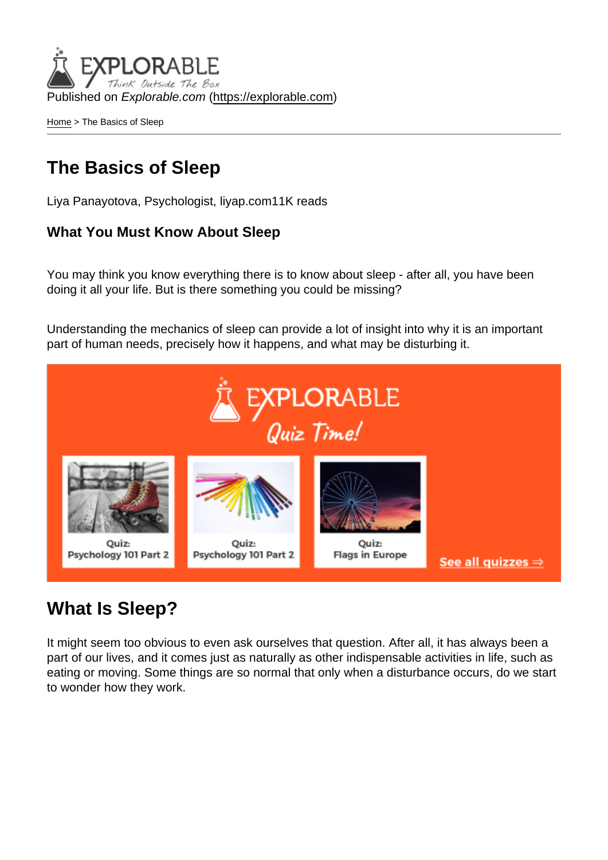Published on Explorable.com (<https://explorable.com>)

[Home](https://explorable.com/) > The Basics of Sleep

## The Basics of Sleep

Liya Panayotova, Psychologist, liyap.com11K reads

What You Must Know About Sleep

You may think you know everything there is to know about sleep - after all, you have been doing it all your life. But is there something you could be missing?

Understanding the mechanics of sleep can provide a lot of insight into why it is an important part of human needs, precisely how it happens, and what may be disturbing it.

### What Is Sleep?

It might seem too obvious to even ask ourselves that question. After all, it has always been a part of our lives, and it comes just as naturally as other indispensable activities in life, such as eating or moving. Some things are so normal that only when a disturbance occurs, do we start to wonder how they work.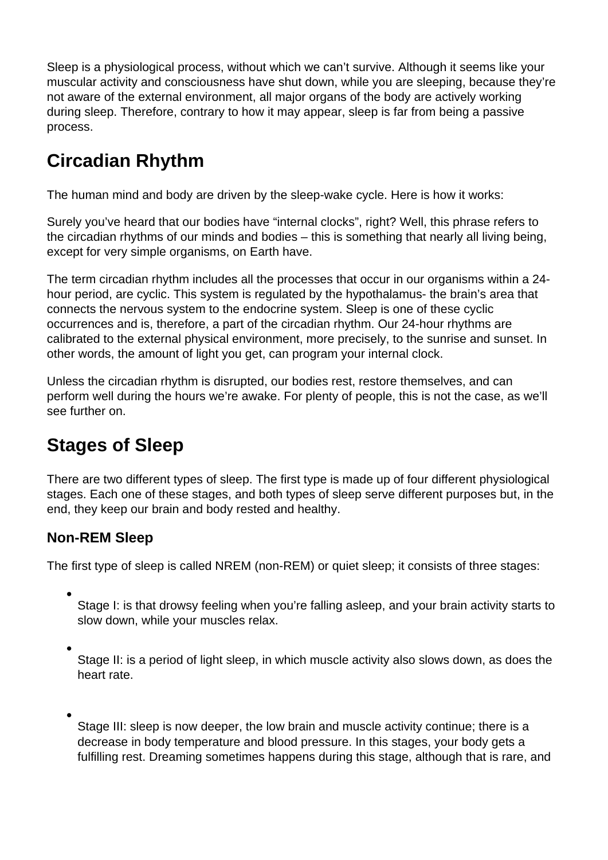Sleep is a physiological process, without which we can't survive. Although it seems like your muscular activity and consciousness have shut down, while you are sleeping, because they're not aware of the external environment, all major organs of the body are actively working during sleep. Therefore, contrary to how it may appear, sleep is far from being a passive process.

## **Circadian Rhythm**

The human mind and body are driven by the sleep-wake cycle. Here is how it works:

Surely you've heard that our bodies have "internal clocks", right? Well, this phrase refers to the circadian rhythms of our minds and bodies – this is something that nearly all living being, except for very simple organisms, on Earth have.

The term circadian rhythm includes all the processes that occur in our organisms within a 24 hour period, are cyclic. This system is regulated by the hypothalamus- the brain's area that connects the nervous system to the endocrine system. Sleep is one of these cyclic occurrences and is, therefore, a part of the circadian rhythm. Our 24-hour rhythms are calibrated to the external physical environment, more precisely, to the sunrise and sunset. In other words, the amount of light you get, can program your internal clock.

Unless the circadian rhythm is disrupted, our bodies rest, restore themselves, and can perform well during the hours we're awake. For plenty of people, this is not the case, as we'll see further on.

# **Stages of Sleep**

There are two different types of sleep. The first type is made up of four different physiological stages. Each one of these stages, and both types of sleep serve different purposes but, in the end, they keep our brain and body rested and healthy.

### **Non-REM Sleep**

The first type of sleep is called NREM (non-REM) or quiet sleep; it consists of three stages:

Stage I: is that drowsy feeling when you're falling asleep, and your brain activity starts to slow down, while your muscles relax.

- Stage II: is a period of light sleep, in which muscle activity also slows down, as does the heart rate.
- Stage III: sleep is now deeper, the low brain and muscle activity continue; there is a decrease in body temperature and blood pressure. In this stages, your body gets a fulfilling rest. Dreaming sometimes happens during this stage, although that is rare, and